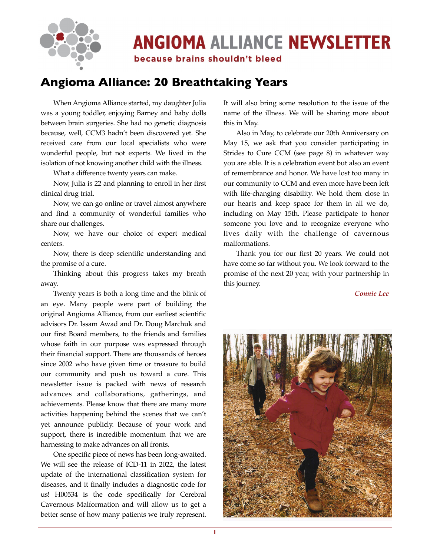

# **ANGIOMA ALLIANCE NEWSLETTER**

because brains shouldn't bleed

# **Angioma Alliance: 20 Breathtaking Years**

When Angioma Alliance started, my daughter Julia was a young toddler, enjoying Barney and baby dolls between brain surgeries. She had no genetic diagnosis because, well, CCM3 hadn't been discovered yet. She received care from our local specialists who were wonderful people, but not experts. We lived in the isolation of not knowing another child with the illness.

What a difference twenty years can make.

Now, Julia is 22 and planning to enroll in her first clinical drug trial.

Now, we can go online or travel almost anywhere and find a community of wonderful families who share our challenges.

Now, we have our choice of expert medical centers.

Now, there is deep scientific understanding and the promise of a cure.

Thinking about this progress takes my breath away.

Twenty years is both a long time and the blink of an eye. Many people were part of building the original Angioma Alliance, from our earliest scientific advisors Dr. Issam Awad and Dr. Doug Marchuk and our first Board members, to the friends and families whose faith in our purpose was expressed through their financial support. There are thousands of heroes since 2002 who have given time or treasure to build our community and push us toward a cure. This newsletter issue is packed with news of research advances and collaborations, gatherings, and achievements. Please know that there are many more activities happening behind the scenes that we can't yet announce publicly. Because of your work and support, there is incredible momentum that we are harnessing to make advances on all fronts.

One specific piece of news has been long-awaited. We will see the release of ICD-11 in 2022, the latest update of the international classification system for diseases, and it finally includes a diagnostic code for us! H00534 is the code specifically for Cerebral Cavernous Malformation and will allow us to get a better sense of how many patients we truly represent. It will also bring some resolution to the issue of the name of the illness. We will be sharing more about this in May.

Also in May, to celebrate our 20th Anniversary on May 15, we ask that you consider participating in Strides to Cure CCM (see page 8) in whatever way you are able. It is a celebration event but also an event of remembrance and honor. We have lost too many in our community to CCM and even more have been left with life-changing disability. We hold them close in our hearts and keep space for them in all we do, including on May 15th. Please participate to honor someone you love and to recognize everyone who lives daily with the challenge of cavernous malformations.

Thank you for our first 20 years. We could not have come so far without you. We look forward to the promise of the next 20 year, with your partnership in this journey.

*Connie Lee*

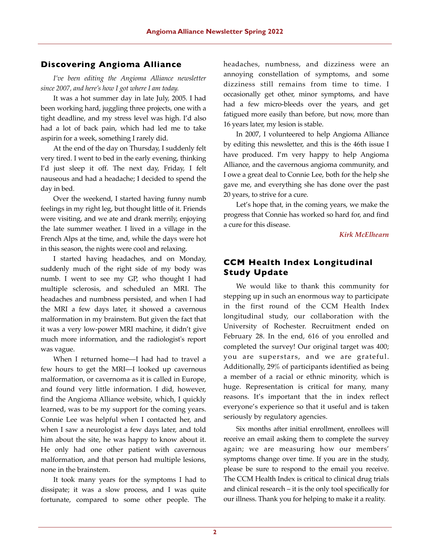# **Discovering Angioma Alliance**

*I've been editing the Angioma Alliance newsletter since 2007, and here's how I got where I am today.* 

It was a hot summer day in late July, 2005. I had been working hard, juggling three projects, one with a tight deadline, and my stress level was high. I'd also had a lot of back pain, which had led me to take aspirin for a week, something I rarely did.

At the end of the day on Thursday, I suddenly felt very tired. I went to bed in the early evening, thinking I'd just sleep it off. The next day, Friday, I felt nauseous and had a headache; I decided to spend the day in bed.

Over the weekend, I started having funny numb feelings in my right leg, but thought little of it. Friends were visiting, and we ate and drank merrily, enjoying the late summer weather. I lived in a village in the French Alps at the time, and, while the days were hot in this season, the nights were cool and relaxing.

I started having headaches, and on Monday, suddenly much of the right side of my body was numb. I went to see my GP, who thought I had multiple sclerosis, and scheduled an MRI. The headaches and numbness persisted, and when I had the MRI a few days later, it showed a cavernous malformation in my brainstem. But given the fact that it was a very low-power MRI machine, it didn't give much more information, and the radiologist's report was vague.

When I returned home—I had had to travel a few hours to get the MRI—I looked up cavernous malformation, or cavernoma as it is called in Europe, and found very little information. I did, however, find the Angioma Alliance website, which, I quickly learned, was to be my support for the coming years. Connie Lee was helpful when I contacted her, and when I saw a neurologist a few days later, and told him about the site, he was happy to know about it. He only had one other patient with cavernous malformation, and that person had multiple lesions, none in the brainstem.

It took many years for the symptoms I had to dissipate; it was a slow process, and I was quite fortunate, compared to some other people. The

headaches, numbness, and dizziness were an annoying constellation of symptoms, and some dizziness still remains from time to time. I occasionally get other, minor symptoms, and have had a few micro-bleeds over the years, and get fatigued more easily than before, but now, more than 16 years later, my lesion is stable.

In 2007, I volunteered to help Angioma Alliance by editing this newsletter, and this is the 46th issue I have produced. I'm very happy to help Angioma Alliance, and the cavernous angioma community, and I owe a great deal to Connie Lee, both for the help she gave me, and everything she has done over the past 20 years, to strive for a cure.

Let's hope that, in the coming years, we make the progress that Connie has worked so hard for, and find a cure for this disease.

*Kirk McElhearn*

# **CCM Health Index Longitudinal Study Update**

We would like to thank this community for stepping up in such an enormous way to participate in the first round of the CCM Health Index longitudinal study, our collaboration with the University of Rochester. Recruitment ended on February 28. In the end, 616 of you enrolled and completed the survey! Our original target was 400; you are superstars, and we are grateful. Additionally, 29% of participants identified as being a member of a racial or ethnic minority, which is huge. Representation is critical for many, many reasons. It's important that the in index reflect everyone's experience so that it useful and is taken seriously by regulatory agencies.

Six months after initial enrollment, enrollees will receive an email asking them to complete the survey again; we are measuring how our members' symptoms change over time. If you are in the study, please be sure to respond to the email you receive. The CCM Health Index is critical to clinical drug trials and clinical research – it is the only tool specifically for our illness. Thank you for helping to make it a reality.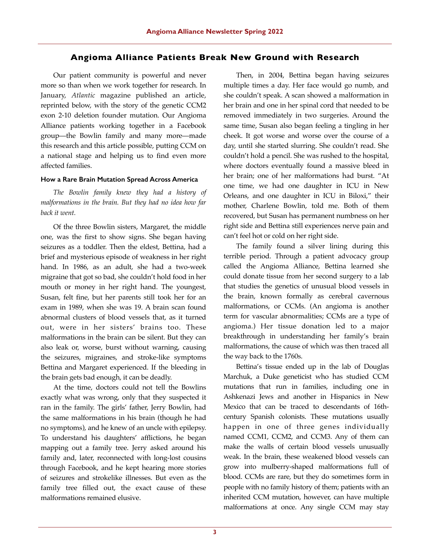## **Angioma Alliance Patients Break New Ground with Research**

Our patient community is powerful and never more so than when we work together for research. In January, *Atlantic* magazine published an article, reprinted below, with the story of the genetic CCM2 exon 2-10 deletion founder mutation. Our Angioma Alliance patients working together in a Facebook group—the Bowlin family and many more—made this research and this article possible, putting CCM on a national stage and helping us to find even more affected families.

#### **How a Rare Brain Mutation Spread Across America**

*The Bowlin family knew they had a history of malformations in the brain. But they had no idea how far back it went.*

Of the three Bowlin sisters, Margaret, the middle one, was the first to show signs. She began having seizures as a toddler. Then the eldest, Bettina, had a brief and mysterious episode of weakness in her right hand. In 1986, as an adult, she had a two-week migraine that got so bad, she couldn't hold food in her mouth or money in her right hand. The youngest, Susan, felt fine, but her parents still took her for an exam in 1989, when she was 19. A brain scan found abnormal clusters of blood vessels that, as it turned out, were in her sisters' brains too. These malformations in the brain can be silent. But they can also leak or, worse, burst without warning, causing the seizures, migraines, and stroke-like symptoms Bettina and Margaret experienced. If the bleeding in the brain gets bad enough, it can be deadly.

At the time, doctors could not tell the Bowlins exactly what was wrong, only that they suspected it ran in the family. The girls' father, Jerry Bowlin, had the same malformations in his brain (though he had no symptoms), and he knew of an uncle with epilepsy. To understand his daughters' afflictions, he began mapping out a family tree. Jerry asked around his family and, later, reconnected with long-lost cousins through Facebook, and he kept hearing more stories of seizures and strokelike illnesses. But even as the family tree filled out, the exact cause of these malformations remained elusive.

Then, in 2004, Bettina began having seizures multiple times a day. Her face would go numb, and she couldn't speak. A scan showed a malformation in her brain and one in her spinal cord that needed to be removed immediately in two surgeries. Around the same time, Susan also began feeling a tingling in her cheek. It got worse and worse over the course of a day, until she started slurring. She couldn't read. She couldn't hold a pencil. She was rushed to the hospital, where doctors eventually found a massive bleed in her brain; one of her malformations had burst. "At one time, we had one daughter in ICU in New Orleans, and one daughter in ICU in Biloxi," their mother, Charlene Bowlin, told me. Both of them recovered, but Susan has permanent numbness on her right side and Bettina still experiences nerve pain and can't feel hot or cold on her right side.

The family found a silver lining during this terrible period. Through a patient advocacy group called the Angioma Alliance, Bettina learned she could donate tissue from her second surgery to a lab that studies the genetics of unusual blood vessels in the brain, known formally as cerebral cavernous malformations, or CCMs. (An angioma is another term for vascular abnormalities; CCMs are a type of angioma.) Her tissue donation led to a major breakthrough in understanding her family's brain malformations, the cause of which was then traced all the way back to the 1760s.

Bettina's tissue ended up in the lab of Douglas Marchuk, a Duke geneticist who has studied CCM mutations that run in families, including one in Ashkenazi Jews and another in Hispanics in New Mexico that can be traced to descendants of 16thcentury Spanish colonists. These mutations usually happen in one of three genes individually named CCM1, CCM2, and CCM3. Any of them can make the walls of certain blood vessels unusually weak. In the brain, these weakened blood vessels can grow into mulberry-shaped malformations full of blood. CCMs are rare, but they do sometimes form in people with no family history of them; patients with an inherited CCM mutation, however, can have multiple malformations at once. Any single CCM may stay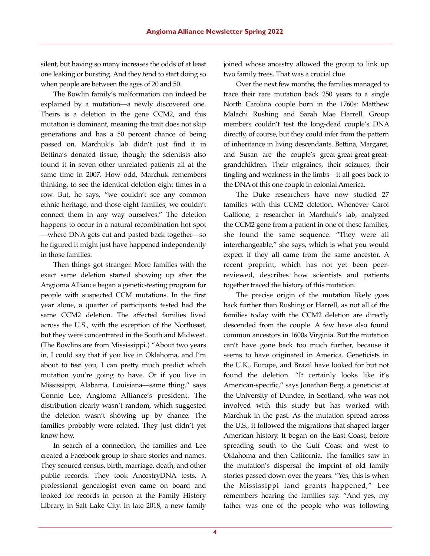silent, but having so many increases the odds of at least one leaking or bursting. And they tend to start doing so when people are between the ages of 20 and 50.

The Bowlin family's malformation can indeed be explained by a mutation—a newly discovered one. Theirs is a deletion in the gene CCM2, and this mutation is dominant, meaning the trait does not skip generations and has a 50 percent chance of being passed on. Marchuk's lab didn't just find it in Bettina's donated tissue, though; the scientists also found it in seven other unrelated patients all at the same time in 2007. How odd, Marchuk remembers thinking, to see the identical deletion eight times in a row. But, he says, "we couldn't see any common ethnic heritage, and those eight families, we couldn't connect them in any way ourselves." The deletion happens to occur in a natural recombination hot spot —where DNA gets cut and pasted back together—so he figured it might just have happened independently in those families.

Then things got stranger. More families with the exact same deletion started showing up after the Angioma Alliance began a genetic-testing program for people with suspected CCM mutations. In the first year alone, a quarter of participants tested had the same CCM2 deletion. The affected families lived across the U.S., with the exception of the Northeast, but they were concentrated in the South and Midwest. (The Bowlins are from Mississippi.) "About two years in, I could say that if you live in Oklahoma, and I'm about to test you, I can pretty much predict which mutation you're going to have. Or if you live in Mississippi, Alabama, Louisiana—same thing," says Connie Lee, Angioma Alliance's president. The distribution clearly wasn't random, which suggested the deletion wasn't showing up by chance. The families probably were related. They just didn't yet know how.

In search of a connection, the families and Lee created a Facebook group to share stories and names. They scoured census, birth, marriage, death, and other public records. They took AncestryDNA tests. A professional genealogist even came on board and looked for records in person at the Family History Library, in Salt Lake City. In late 2018, a new family joined whose ancestry allowed the group to link up two family trees. That was a crucial clue.

Over the next few months, the families managed to trace their rare mutation back 250 years to a single North Carolina couple born in the 1760s: Matthew Malachi Rushing and Sarah Mae Harrell. Group members couldn't test the long-dead couple's DNA directly, of course, but they could infer from the pattern of inheritance in living descendants. Bettina, Margaret, and Susan are the couple's great-great-great-greatgrandchildren. Their migraines, their seizures, their tingling and weakness in the limbs—it all goes back to the DNA of this one couple in colonial America.

The Duke researchers have now studied 27 families with this CCM2 deletion. Whenever Carol Gallione, a researcher in Marchuk's lab, analyzed the CCM2 gene from a patient in one of these families, she found the same sequence. "They were all interchangeable," she says, which is what you would expect if they all came from the same ancestor. A recent preprint, which has not yet been peerreviewed, describes how scientists and patients together traced the history of this mutation.

The precise origin of the mutation likely goes back further than Rushing or Harrell, as not all of the families today with the CCM2 deletion are directly descended from the couple. A few have also found common ancestors in 1600s Virginia. But the mutation can't have gone back too much further, because it seems to have originated in America. Geneticists in the U.K., Europe, and Brazil have looked for but not found the deletion. "It certainly looks like it's American-specific," says Jonathan Berg, a geneticist at the University of Dundee, in Scotland, who was not involved with this study but has worked with Marchuk in the past. As the mutation spread across the U.S., it followed the migrations that shaped larger American history. It began on the East Coast, before spreading south to the Gulf Coast and west to Oklahoma and then California. The families saw in the mutation's dispersal the imprint of old family stories passed down over the years. "Yes, this is when the Mississippi land grants happened," Lee remembers hearing the families say. "And yes, my father was one of the people who was following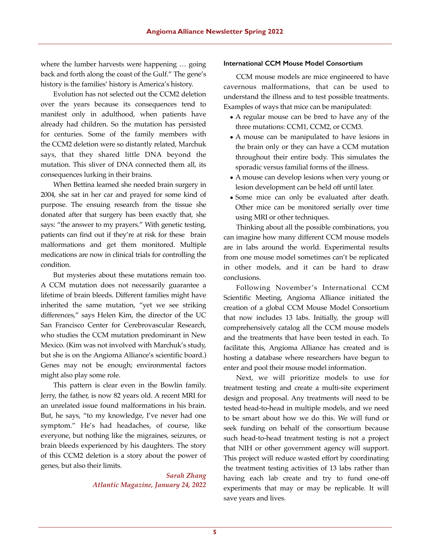where the lumber harvests were happening … going back and forth along the coast of the Gulf." The gene's history is the families' history is America's history.

Evolution has not selected out the CCM2 deletion over the years because its consequences tend to manifest only in adulthood, when patients have already had children. So the mutation has persisted for centuries. Some of the family members with the CCM2 deletion were so distantly related, Marchuk says, that they shared little DNA beyond the mutation. This sliver of DNA connected them all, its consequences lurking in their brains.

When Bettina learned she needed brain surgery in 2004, she sat in her car and prayed for some kind of purpose. The ensuing research from the tissue she donated after that surgery has been exactly that, she says: "the answer to my prayers." With genetic testing, patients can find out if they're at risk for these brain malformations and get them monitored. Multiple medications are now in clinical trials for controlling the condition.

But mysteries about these mutations remain too. A CCM mutation does not necessarily guarantee a lifetime of brain bleeds. Different families might have inherited the same mutation, "yet we see striking differences," says Helen Kim, the director of the UC San Francisco Center for Cerebrovascular Research, who studies the CCM mutation predominant in New Mexico. (Kim was not involved with Marchuk's study, but she is on the Angioma Alliance's scientific board.) Genes may not be enough; environmental factors might also play some role.

This pattern is clear even in the Bowlin family. Jerry, the father, is now 82 years old. A recent MRI for an unrelated issue found malformations in his brain. But, he says, "to my knowledge, I've never had one symptom." He's had headaches, of course, like everyone, but nothing like the migraines, seizures, or brain bleeds experienced by his daughters. The story of this CCM2 deletion is a story about the power of genes, but also their limits.

> *Sarah Zhang Atlantic Magazine, January 24, 2022*

#### **International CCM Mouse Model Consortium**

CCM mouse models are mice engineered to have cavernous malformations, that can be used to understand the illness and to test possible treatments. Examples of ways that mice can be manipulated:

- A regular mouse can be bred to have any of the three mutations: CCM1, CCM2, or CCM3.
- A mouse can be manipulated to have lesions in the brain only or they can have a CCM mutation throughout their entire body. This simulates the sporadic versus familial forms of the illness.
- A mouse can develop lesions when very young or lesion development can be held off until later.
- Some mice can only be evaluated after death. Other mice can be monitored serially over time using MRI or other techniques.

Thinking about all the possible combinations, you can imagine how many different CCM mouse models are in labs around the world. Experimental results from one mouse model sometimes can't be replicated in other models, and it can be hard to draw conclusions.

Following November's International CCM Scientific Meeting, Angioma Alliance initiated the creation of a global CCM Mouse Model Consortium that now includes 13 labs. Initially, the group will comprehensively catalog all the CCM mouse models and the treatments that have been tested in each. To facilitate this, Angioma Alliance has created and is hosting a database where researchers have begun to enter and pool their mouse model information.

Next, we will prioritize models to use for treatment testing and create a multi-site experiment design and proposal. Any treatments will need to be tested head-to-head in multiple models, and we need to be smart about how we do this. We will fund or seek funding on behalf of the consortium because such head-to-head treatment testing is not a project that NIH or other government agency will support. This project will reduce wasted effort by coordinating the treatment testing activities of 13 labs rather than having each lab create and try to fund one-off experiments that may or may be replicable. It will save years and lives.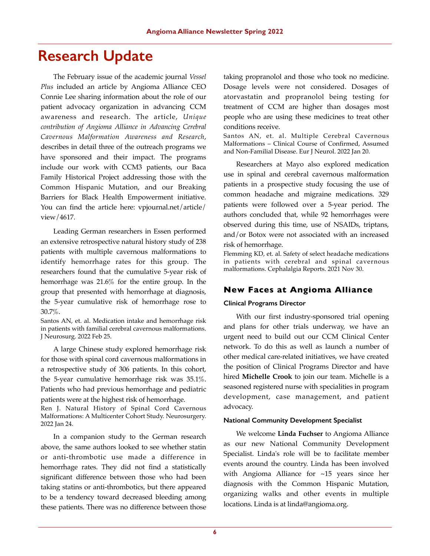# **Research Update**

The February issue of the academic journal *Vessel Plus* included an article by Angioma Alliance CEO Connie Lee sharing information about the role of our patient advocacy organization in advancing CCM awareness and research. The article, *Unique contribution of Angioma Alliance in Advancing Cerebral Cavernous Malformation Awareness and Research*, describes in detail three of the outreach programs we have sponsored and their impact. The programs include our work with CCM3 patients, our Baca Family Historical Project addressing those with the Common Hispanic Mutation, and our Breaking Barriers for Black Health Empowerment initiative. You can find the article here: vpjournal.net/article/ view/4617.

Leading German researchers in Essen performed an extensive retrospective natural history study of 238 patients with multiple cavernous malformations to identify hemorrhage rates for this group. The researchers found that the cumulative 5-year risk of hemorrhage was 21.6% for the entire group. In the group that presented with hemorrhage at diagnosis, the 5-year cumulative risk of hemorrhage rose to 30.7%.

Santos AN, et. al. Medication intake and hemorrhage risk in patients with familial cerebral cavernous malformations. J Neurosurg. 2022 Feb 25.

A large Chinese study explored hemorrhage risk for those with spinal cord cavernous malformations in a retrospective study of 306 patients. In this cohort, the 5-year cumulative hemorrhage risk was 35.1%. Patients who had previous hemorrhage and pediatric patients were at the highest risk of hemorrhage.

Ren J. Natural History of Spinal Cord Cavernous Malformations: A Multicenter Cohort Study. Neurosurgery. 2022 Jan 24.

In a companion study to the German research above, the same authors looked to see whether statin or anti-thrombotic use made a difference in hemorrhage rates. They did not find a statistically significant difference between those who had been taking statins or anti-thrombotics, but there appeared to be a tendency toward decreased bleeding among these patients. There was no difference between those taking propranolol and those who took no medicine. Dosage levels were not considered. Dosages of atorvastatin and propranolol being testing for treatment of CCM are higher than dosages most people who are using these medicines to treat other conditions receive.

Santos AN, et. al. Multiple Cerebral Cavernous Malformations – Clinical Course of Confirmed, Assumed and Non-Familial Disease. Eur J Neurol. 2022 Jan 20.

Researchers at Mayo also explored medication use in spinal and cerebral cavernous malformation patients in a prospective study focusing the use of common headache and migraine medications. 329 patients were followed over a 5-year period. The authors concluded that, while 92 hemorrhages were observed during this time, use of NSAIDs, triptans, and/or Botox were not associated with an increased risk of hemorrhage.

Flemming KD, et. al. Safety of select headache medications in patients with cerebral and spinal cavernous malformations. Cephalalgia Reports. 2021 Nov 30.

# **New Faces at Angioma Alliance**

#### **Clinical Programs Director**

With our first industry-sponsored trial opening and plans for other trials underway, we have an urgent need to build out our CCM Clinical Center network. To do this as well as launch a number of other medical care-related initiatives, we have created the position of Clinical Programs Director and have hired **Michelle Crook** to join our team. Michelle is a seasoned registered nurse with specialities in program development, case management, and patient advocacy.

#### **National Community Development Specialist**

We welcome **Linda Fuchser** to Angioma Alliance as our new National Community Development Specialist. Linda's role will be to facilitate member events around the country. Linda has been involved with Angioma Alliance for ~15 years since her diagnosis with the Common Hispanic Mutation, organizing walks and other events in multiple locations. Linda is at linda@angioma.org.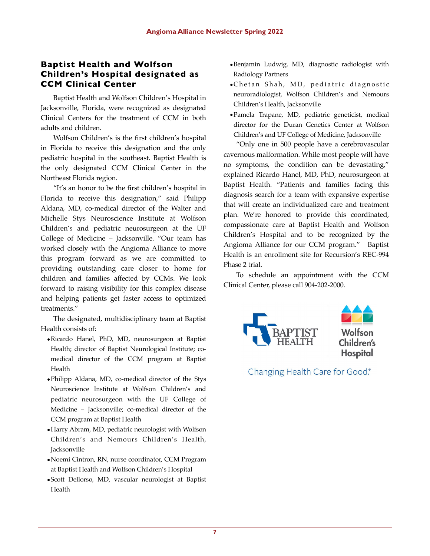# **Baptist Health and Wolfson Children's Hospital designated as CCM Clinical Center**

Baptist Health and Wolfson Children's Hospital in Jacksonville, Florida, were recognized as designated Clinical Centers for the treatment of CCM in both adults and children.

Wolfson Children's is the first children's hospital in Florida to receive this designation and the only pediatric hospital in the southeast. Baptist Health is the only designated CCM Clinical Center in the Northeast Florida region.

"It's an honor to be the first children's hospital in Florida to receive this designation," said Philipp Aldana, MD, co-medical director of the Walter and Michelle Stys Neuroscience Institute at Wolfson Children's and pediatric neurosurgeon at the UF College of Medicine – Jacksonville. "Our team has worked closely with the Angioma Alliance to move this program forward as we are committed to providing outstanding care closer to home for children and families affected by CCMs. We look forward to raising visibility for this complex disease and helping patients get faster access to optimized treatments."

The designated, multidisciplinary team at Baptist Health consists of:

- •Ricardo Hanel, PhD, MD, neurosurgeon at Baptist Health; director of Baptist Neurological Institute; comedical director of the CCM program at Baptist Health
- •Philipp Aldana, MD, co-medical director of the Stys Neuroscience Institute at Wolfson Children's and pediatric neurosurgeon with the UF College of Medicine – Jacksonville; co-medical director of the CCM program at Baptist Health
- •Harry Abram, MD, pediatric neurologist with Wolfson Children's and Nemours Children's Health, Jacksonville
- •Noemi Cintron, RN, nurse coordinator, CCM Program at Baptist Health and Wolfson Children's Hospital
- •Scott Dellorso, MD, vascular neurologist at Baptist Health
- •Benjamin Ludwig, MD, diagnostic radiologist with Radiology Partners
- •Chetan Shah, MD, pediatric diagnostic neuroradiologist, Wolfson Children's and Nemours Children's Health, Jacksonville
- •Pamela Trapane, MD, pediatric geneticist, medical director for the Duran Genetics Center at Wolfson Children's and UF College of Medicine, Jacksonville

"Only one in 500 people have a cerebrovascular cavernous malformation. While most people will have no symptoms, the condition can be devastating," explained Ricardo Hanel, MD, PhD, neurosurgeon at Baptist Health. "Patients and families facing this diagnosis search for a team with expansive expertise that will create an individualized care and treatment plan. We're honored to provide this coordinated, compassionate care at Baptist Health and Wolfson Children's Hospital and to be recognized by the Angioma Alliance for our CCM program." Baptist Health is an enrollment site for Recursion's REC-994 Phase 2 trial.

To schedule an appointment with the CCM Clinical Center, please call 904-202-2000.



Changing Health Care for Good.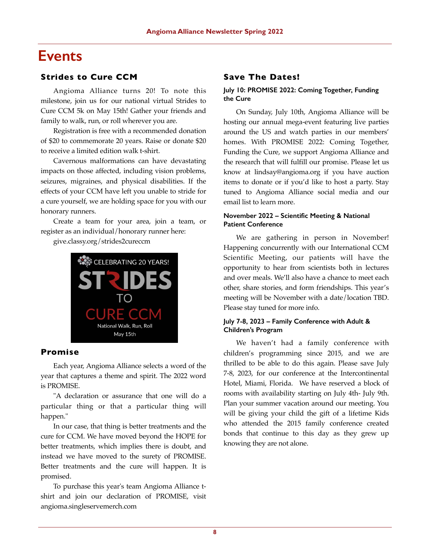# **Events**

## **Strides to Cure CCM**

Angioma Alliance turns 20! To note this milestone, join us for our national virtual Strides to Cure CCM 5k on May 15th! Gather your friends and family to walk, run, or roll wherever you are.

Registration is free with a recommended donation of \$20 to commemorate 20 years. Raise or donate \$20 to receive a limited edition walk t-shirt.

Cavernous malformations can have devastating impacts on those affected, including vision problems, seizures, migraines, and physical disabilities. If the effects of your CCM have left you unable to stride for a cure yourself, we are holding space for you with our honorary runners.

Create a team for your area, join a team, or register as an individual/honorary runner here:

give.classy.org/strides2cureccm



### **Promise**

Each year, Angioma Alliance selects a word of the year that captures a theme and spirit. The 2022 word is PROMISE.

"A declaration or assurance that one will do a particular thing or that a particular thing will happen."

In our case, that thing is better treatments and the cure for CCM. We have moved beyond the HOPE for better treatments, which implies there is doubt, and instead we have moved to the surety of PROMISE. Better treatments and the cure will happen. It is promised.

To purchase this year's team Angioma Alliance tshirt and join our declaration of PROMISE, visit angioma.singleservemerch.com

# **Save The Dates!**

### **July 10: PROMISE 2022: Coming Together, Funding the Cure**

On Sunday, July 10th, Angioma Alliance will be hosting our annual mega-event featuring live parties around the US and watch parties in our members' homes. With PROMISE 2022: Coming Together, Funding the Cure, we support Angioma Alliance and the research that will fulfill our promise. Please let us know at lindsay@angioma.org if you have auction items to donate or if you'd like to host a party. Stay tuned to Angioma Alliance social media and our email list to learn more.

### **November 2022 – Scientific Meeting & National Patient Conference**

We are gathering in person in November! Happening concurrently with our International CCM Scientific Meeting, our patients will have the opportunity to hear from scientists both in lectures and over meals. We'll also have a chance to meet each other, share stories, and form friendships. This year's meeting will be November with a date/location TBD. Please stay tuned for more info.

#### **July 7-8, 2023 – Family Conference with Adult & Children's Program**

We haven't had a family conference with children's programming since 2015, and we are thrilled to be able to do this again. Please save July 7-8, 2023, for our conference at the Intercontinental Hotel, Miami, Florida. We have reserved a block of rooms with availability starting on July 4th- July 9th. Plan your summer vacation around our meeting. You will be giving your child the gift of a lifetime Kids who attended the 2015 family conference created bonds that continue to this day as they grew up knowing they are not alone.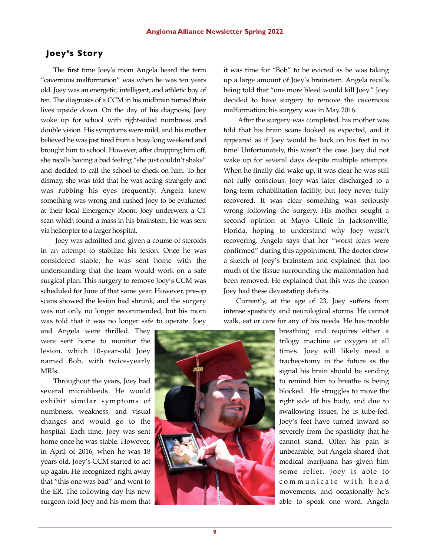# **Joey's Story**

The first time Joey's mom Angela heard the term "cavernous malformation" was when he was ten years old. Joey was an energetic, intelligent, and athletic boy of ten. The diagnosis of a CCM in his midbrain turned their lives upside down. On the day of his diagnosis, Joey woke up for school with right-sided numbness and double vision. His symptoms were mild, and his mother believed he was just tired from a busy long weekend and brought him to school. However, after dropping him off, she recalls having a bad feeling "she just couldn't shake" and decided to call the school to check on him. To her dismay, she was told that he was acting strangely and was rubbing his eyes frequently. Angela knew something was wrong and rushed Joey to be evaluated at their local Emergency Room. Joey underwent a CT scan which found a mass in his brainstem. He was sent via helicopter to a larger hospital.

 Joey was admitted and given a course of steroids in an attempt to stabilize his lesion. Once he was considered stable, he was sent home with the understanding that the team would work on a safe surgical plan. This surgery to remove Joey's CCM was scheduled for June of that same year. However, pre-op scans showed the lesion had shrunk, and the surgery was not only no longer recommended, but his mom was told that it was no longer safe to operate. Joey

and Angela were thrilled. They were sent home to monitor the lesion, which 10-year-old Joey named Bob, with twice-yearly MRIs.

Throughout the years, Joey had several microbleeds. He would exhibit similar symptoms of numbness, weakness, and visual changes and would go to the hospital. Each time, Joey was sent home once he was stable. However, in April of 2016, when he was 18 years old, Joey's CCM started to act up again. He recognized right away that "this one was bad" and went to the ER. The following day his new surgeon told Joey and his mom that

it was time for "Bob" to be evicted as he was taking up a large amount of Joey's brainstem. Angela recalls being told that "one more bleed would kill Joey." Joey decided to have surgery to remove the cavernous malformation; his surgery was in May 2016.

 After the surgery was completed, his mother was told that his brain scans looked as expected, and it appeared as if Joey would be back on his feet in no time! Unfortunately, this wasn't the case. Joey did not wake up for several days despite multiple attempts. When he finally did wake up, it was clear he was still not fully conscious. Joey was later discharged to a long-term rehabilitation facility, but Joey never fully recovered. It was clear something was seriously wrong following the surgery. His mother sought a second opinion at Mayo Clinic in Jacksonville, Florida, hoping to understand why Joey wasn't recovering. Angela says that her "worst fears were confirmed" during this appointment. The doctor drew a sketch of Joey's brainstem and explained that too much of the tissue surrounding the malformation had been removed. He explained that this was the reason Joey had these devastating deficits.

Currently, at the age of 23, Joey suffers from intense spasticity and neurological storms. He cannot walk, eat or care for any of his needs. He has trouble



breathing and requires either a trilogy machine or oxygen at all times. Joey will likely need a tracheostomy in the future as the signal his brain should be sending to remind him to breathe is being blocked. He struggles to move the right side of his body, and due to swallowing issues, he is tube-fed. Joey's feet have turned inward so severely from the spasticity that he cannot stand. Often his pain is unbearable, but Angela shared that medical marijuana has given him some relief. Joey is able to communicate with head movements, and occasionally he's able to speak one word. Angela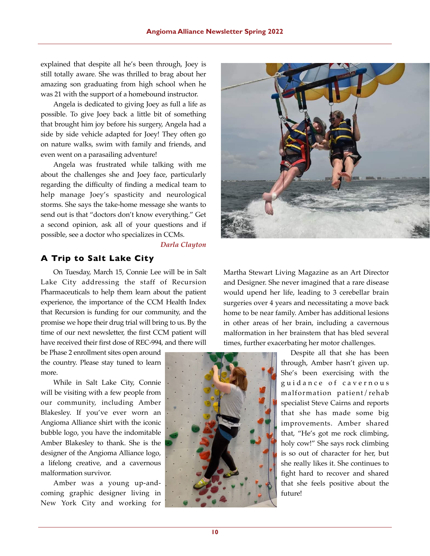explained that despite all he's been through, Joey is still totally aware. She was thrilled to brag about her amazing son graduating from high school when he was 21 with the support of a homebound instructor.

Angela is dedicated to giving Joey as full a life as possible. To give Joey back a little bit of something that brought him joy before his surgery, Angela had a side by side vehicle adapted for Joey! They often go on nature walks, swim with family and friends, and even went on a parasailing adventure!

Angela was frustrated while talking with me about the challenges she and Joey face, particularly regarding the difficulty of finding a medical team to help manage Joey's spasticity and neurological storms. She says the take-home message she wants to send out is that "doctors don't know everything." Get a second opinion, ask all of your questions and if possible, see a doctor who specializes in CCMs.

#### *Darla Clayton*

# **A Trip to Salt Lake City**

On Tuesday, March 15, Connie Lee will be in Salt Lake City addressing the staff of Recursion Pharmaceuticals to help them learn about the patient experience, the importance of the CCM Health Index that Recursion is funding for our community, and the promise we hope their drug trial will bring to us. By the time of our next newsletter, the first CCM patient will have received their first dose of REC-994, and there will

be Phase 2 enrollment sites open around the country. Please stay tuned to learn more.

While in Salt Lake City, Connie will be visiting with a few people from our community, including Amber Blakesley. If you've ever worn an Angioma Alliance shirt with the iconic bubble logo, you have the indomitable Amber Blakesley to thank. She is the designer of the Angioma Alliance logo, a lifelong creative, and a cavernous malformation survivor.

Amber was a young up-andcoming graphic designer living in New York City and working for



Martha Stewart Living Magazine as an Art Director and Designer. She never imagined that a rare disease would upend her life, leading to 3 cerebellar brain surgeries over 4 years and necessitating a move back home to be near family. Amber has additional lesions in other areas of her brain, including a cavernous malformation in her brainstem that has bled several times, further exacerbating her motor challenges.

> Despite all that she has been through, Amber hasn't given up. She's been exercising with the guidance of cavernous malformation patient/rehab specialist Steve Cairns and reports that she has made some big improvements. Amber shared that, "He's got me rock climbing, holy cow!" She says rock climbing is so out of character for her, but she really likes it. She continues to fight hard to recover and shared that she feels positive about the future!